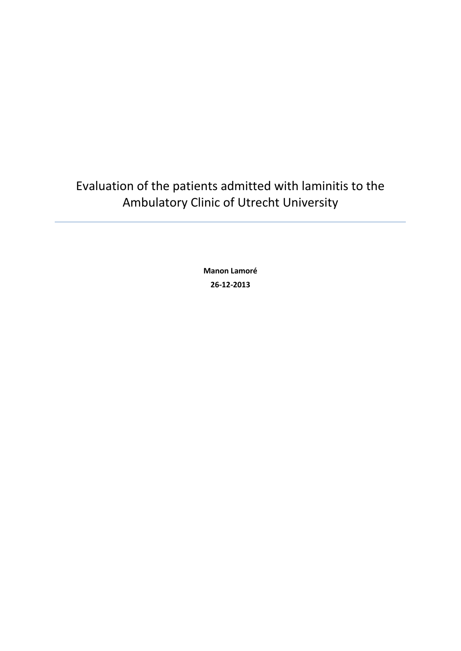Evaluation of the patients admitted with laminitis to the Ambulatory Clinic of Utrecht University

> **Manon Lamoré 26-12-2013**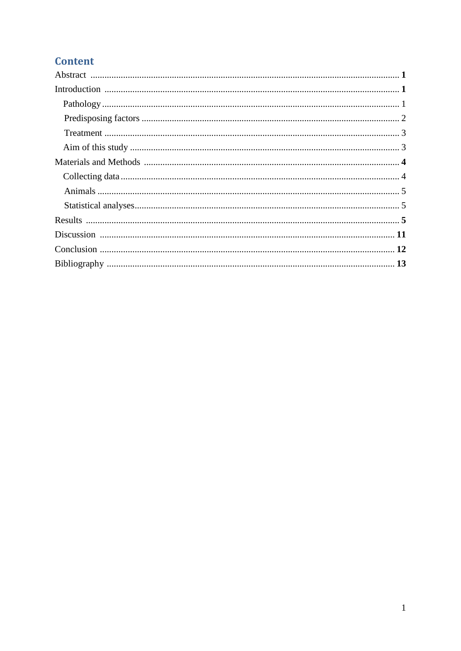# **Content**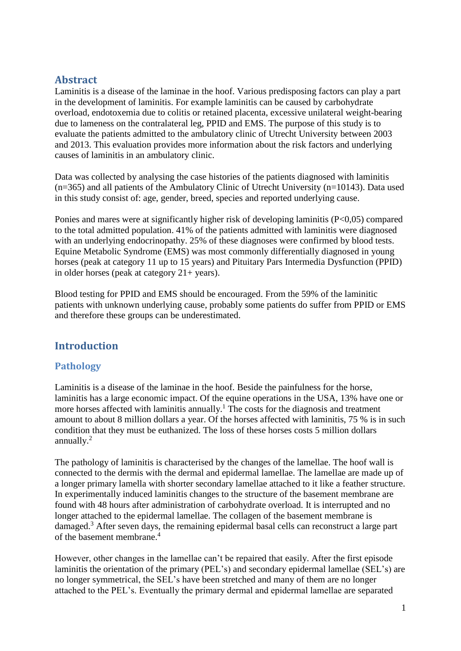# **Abstract**

Laminitis is a disease of the laminae in the hoof. Various predisposing factors can play a part in the development of laminitis. For example laminitis can be caused by carbohydrate overload, endotoxemia due to colitis or retained placenta, excessive unilateral weight-bearing due to lameness on the contralateral leg, PPID and EMS. The purpose of this study is to evaluate the patients admitted to the ambulatory clinic of Utrecht University between 2003 and 2013. This evaluation provides more information about the risk factors and underlying causes of laminitis in an ambulatory clinic.

Data was collected by analysing the case histories of the patients diagnosed with laminitis (n=365) and all patients of the Ambulatory Clinic of Utrecht University (n=10143). Data used in this study consist of: age, gender, breed, species and reported underlying cause.

Ponies and mares were at significantly higher risk of developing laminitis  $(P<0.05)$  compared to the total admitted population. 41% of the patients admitted with laminitis were diagnosed with an underlying endocrinopathy. 25% of these diagnoses were confirmed by blood tests. Equine Metabolic Syndrome (EMS) was most commonly differentially diagnosed in young horses (peak at category 11 up to 15 years) and Pituitary Pars Intermedia Dysfunction (PPID) in older horses (peak at category  $21+$  years).

Blood testing for PPID and EMS should be encouraged. From the 59% of the laminitic patients with unknown underlying cause, probably some patients do suffer from PPID or EMS and therefore these groups can be underestimated.

# **Introduction**

# **Pathology**

Laminitis is a disease of the laminae in the hoof. Beside the painfulness for the horse, laminitis has a large economic impact. Of the equine operations in the USA, 13% have one or more horses affected with laminitis annually.<sup>1</sup> The costs for the diagnosis and treatment amount to about 8 million dollars a year. Of the horses affected with laminitis, 75 % is in such condition that they must be euthanized. The loss of these horses costs 5 million dollars annually.<sup>2</sup>

The pathology of laminitis is characterised by the changes of the lamellae. The hoof wall is connected to the dermis with the dermal and epidermal lamellae. The lamellae are made up of a longer primary lamella with shorter secondary lamellae attached to it like a feather structure. In experimentally induced laminitis changes to the structure of the basement membrane are found with 48 hours after administration of carbohydrate overload. It is interrupted and no longer attached to the epidermal lamellae. The collagen of the basement membrane is damaged.<sup>3</sup> After seven days, the remaining epidermal basal cells can reconstruct a large part of the basement membrane. 4

However, other changes in the lamellae can't be repaired that easily. After the first episode laminitis the orientation of the primary (PEL's) and secondary epidermal lamellae (SEL's) are no longer symmetrical, the SEL's have been stretched and many of them are no longer attached to the PEL's. Eventually the primary dermal and epidermal lamellae are separated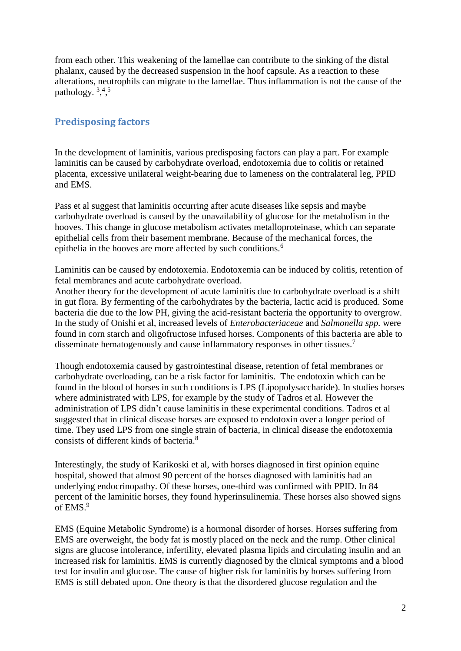from each other. This weakening of the lamellae can contribute to the sinking of the distal phalanx, caused by the decreased suspension in the hoof capsule. As a reaction to these alterations, neutrophils can migrate to the lamellae. Thus inflammation is not the cause of the pathology.  $3,4,5$ 

## **Predisposing factors**

In the development of laminitis, various predisposing factors can play a part. For example laminitis can be caused by carbohydrate overload, endotoxemia due to colitis or retained placenta, excessive unilateral weight-bearing due to lameness on the contralateral leg, PPID and EMS.

Pass et al suggest that laminitis occurring after acute diseases like sepsis and maybe carbohydrate overload is caused by the unavailability of glucose for the metabolism in the hooves. This change in glucose metabolism activates metalloproteinase, which can separate epithelial cells from their basement membrane. Because of the mechanical forces, the epithelia in the hooves are more affected by such conditions.<sup>6</sup>

Laminitis can be caused by endotoxemia. Endotoxemia can be induced by colitis, retention of fetal membranes and acute carbohydrate overload.

Another theory for the development of acute laminitis due to carbohydrate overload is a shift in gut flora. By fermenting of the carbohydrates by the bacteria, lactic acid is produced. Some bacteria die due to the low PH, giving the acid-resistant bacteria the opportunity to overgrow. In the study of Onishi et al, increased levels of *Enterobacteriaceae* and *Salmonella spp.* were found in corn starch and oligofructose infused horses. Components of this bacteria are able to disseminate hematogenously and cause inflammatory responses in other tissues.<sup>7</sup>

Though endotoxemia caused by gastrointestinal disease, retention of fetal membranes or carbohydrate overloading, can be a risk factor for laminitis. The endotoxin which can be found in the blood of horses in such conditions is LPS (Lipopolysaccharide). In studies horses where administrated with LPS, for example by the study of Tadros et al. However the administration of LPS didn't cause laminitis in these experimental conditions. Tadros et al suggested that in clinical disease horses are exposed to endotoxin over a longer period of time. They used LPS from one single strain of bacteria, in clinical disease the endotoxemia consists of different kinds of bacteria.<sup>8</sup>

Interestingly, the study of Karikoski et al, with horses diagnosed in first opinion equine hospital, showed that almost 90 percent of the horses diagnosed with laminitis had an underlying endocrinopathy. Of these horses, one-third was confirmed with PPID. In 84 percent of the laminitic horses, they found hyperinsulinemia. These horses also showed signs of EMS.<sup>9</sup>

EMS (Equine Metabolic Syndrome) is a hormonal disorder of horses. Horses suffering from EMS are overweight, the body fat is mostly placed on the neck and the rump. Other clinical signs are glucose intolerance, infertility, elevated plasma lipids and circulating insulin and an increased risk for laminitis. EMS is currently diagnosed by the clinical symptoms and a blood test for insulin and glucose. The cause of higher risk for laminitis by horses suffering from EMS is still debated upon. One theory is that the disordered glucose regulation and the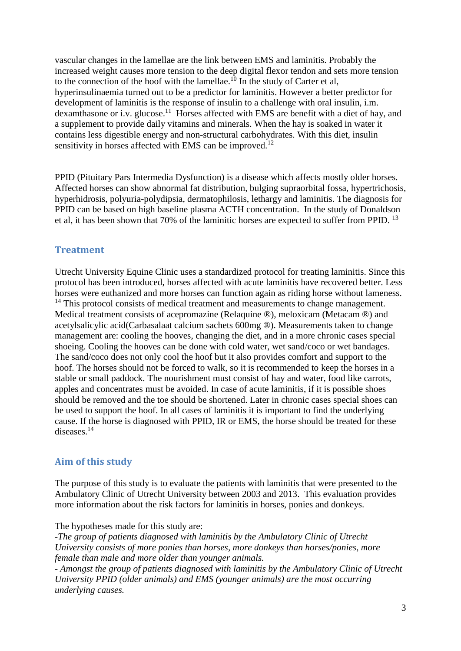vascular changes in the lamellae are the link between EMS and laminitis. Probably the increased weight causes more tension to the deep digital flexor tendon and sets more tension to the connection of the hoof with the lamellae.<sup>10</sup> In the study of Carter et al, hyperinsulinaemia turned out to be a predictor for laminitis. However a better predictor for development of laminitis is the response of insulin to a challenge with oral insulin, i.m. dexamthasone or i.v. glucose.<sup>11</sup> Horses affected with EMS are benefit with a diet of hay, and a supplement to provide daily vitamins and minerals. When the hay is soaked in water it contains less digestible energy and non-structural carbohydrates. With this diet, insulin sensitivity in horses affected with EMS can be improved.<sup>12</sup>

PPID (Pituitary Pars Intermedia Dysfunction) is a disease which affects mostly older horses. Affected horses can show abnormal fat distribution, bulging supraorbital fossa, hypertrichosis, hyperhidrosis, polyuria-polydipsia, dermatophilosis, lethargy and laminitis. The diagnosis for PPID can be based on high baseline plasma ACTH concentration. In the study of Donaldson et al, it has been shown that 70% of the laminitic horses are expected to suffer from PPID. <sup>13</sup>

#### **Treatment**

Utrecht University Equine Clinic uses a standardized protocol for treating laminitis. Since this protocol has been introduced, horses affected with acute laminitis have recovered better. Less horses were euthanized and more horses can function again as riding horse without lameness. <sup>14</sup> This protocol consists of medical treatment and measurements to change management. Medical treatment consists of acepromazine (Relaquine ®), meloxicam (Metacam ®) and acetylsalicylic acid(Carbasalaat calcium sachets 600mg ®). Measurements taken to change management are: cooling the hooves, changing the diet, and in a more chronic cases special shoeing. Cooling the hooves can be done with cold water, wet sand/coco or wet bandages. The sand/coco does not only cool the hoof but it also provides comfort and support to the hoof. The horses should not be forced to walk, so it is recommended to keep the horses in a stable or small paddock. The nourishment must consist of hay and water, food like carrots, apples and concentrates must be avoided. In case of acute laminitis, if it is possible shoes should be removed and the toe should be shortened. Later in chronic cases special shoes can be used to support the hoof. In all cases of laminitis it is important to find the underlying cause. If the horse is diagnosed with PPID, IR or EMS, the horse should be treated for these diseases.<sup>14</sup>

# **Aim of this study**

The purpose of this study is to evaluate the patients with laminitis that were presented to the Ambulatory Clinic of Utrecht University between 2003 and 2013. This evaluation provides more information about the risk factors for laminitis in horses, ponies and donkeys.

The hypotheses made for this study are:

*-The group of patients diagnosed with laminitis by the Ambulatory Clinic of Utrecht University consists of more ponies than horses, more donkeys than horses/ponies, more female than male and more older than younger animals.*

*- Amongst the group of patients diagnosed with laminitis by the Ambulatory Clinic of Utrecht University PPID (older animals) and EMS (younger animals) are the most occurring underlying causes.*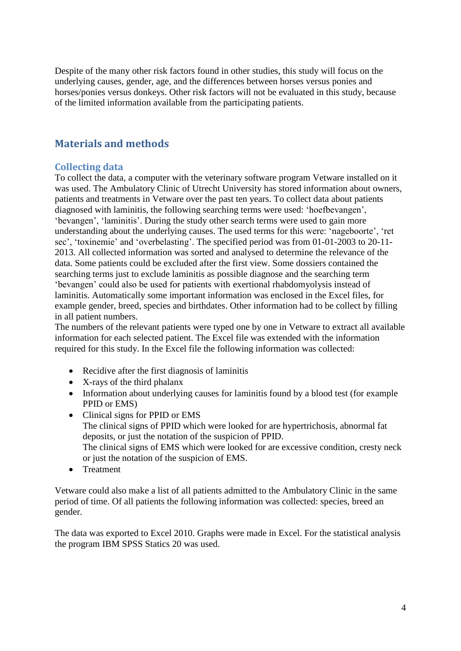Despite of the many other risk factors found in other studies, this study will focus on the underlying causes, gender, age, and the differences between horses versus ponies and horses/ponies versus donkeys. Other risk factors will not be evaluated in this study, because of the limited information available from the participating patients.

# **Materials and methods**

#### **Collecting data**

To collect the data, a computer with the veterinary software program Vetware installed on it was used. The Ambulatory Clinic of Utrecht University has stored information about owners, patients and treatments in Vetware over the past ten years. To collect data about patients diagnosed with laminitis, the following searching terms were used: 'hoefbevangen', 'bevangen', 'laminitis'. During the study other search terms were used to gain more understanding about the underlying causes. The used terms for this were: 'nageboorte', 'ret sec', 'toxinemie' and 'overbelasting'. The specified period was from 01-01-2003 to 20-11- 2013. All collected information was sorted and analysed to determine the relevance of the data. Some patients could be excluded after the first view. Some dossiers contained the searching terms just to exclude laminitis as possible diagnose and the searching term 'bevangen' could also be used for patients with exertional rhabdomyolysis instead of laminitis. Automatically some important information was enclosed in the Excel files, for example gender, breed, species and birthdates. Other information had to be collect by filling in all patient numbers.

The numbers of the relevant patients were typed one by one in Vetware to extract all available information for each selected patient. The Excel file was extended with the information required for this study. In the Excel file the following information was collected:

- Recidive after the first diagnosis of laminitis
- X-rays of the third phalanx
- Information about underlying causes for laminitis found by a blood test (for example PPID or EMS)
- Clinical signs for PPID or EMS The clinical signs of PPID which were looked for are hypertrichosis, abnormal fat deposits, or just the notation of the suspicion of PPID. The clinical signs of EMS which were looked for are excessive condition, cresty neck or just the notation of the suspicion of EMS.
- Treatment

Vetware could also make a list of all patients admitted to the Ambulatory Clinic in the same period of time. Of all patients the following information was collected: species, breed an gender.

The data was exported to Excel 2010. Graphs were made in Excel. For the statistical analysis the program IBM SPSS Statics 20 was used.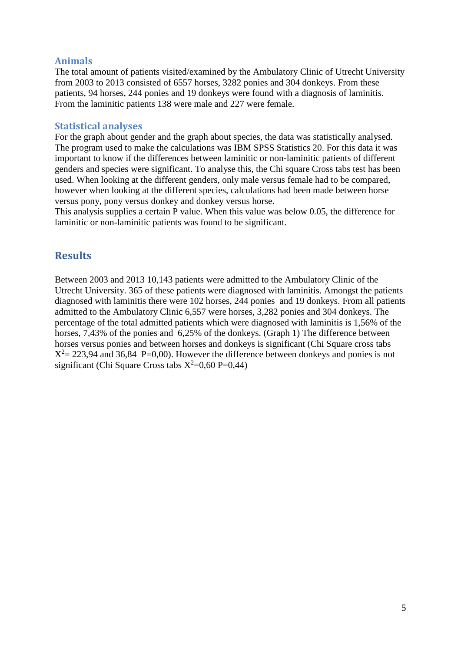#### **Animals**

The total amount of patients visited/examined by the Ambulatory Clinic of Utrecht University from 2003 to 2013 consisted of 6557 horses, 3282 ponies and 304 donkeys. From these patients, 94 horses, 244 ponies and 19 donkeys were found with a diagnosis of laminitis. From the laminitic patients 138 were male and 227 were female.

#### **Statistical analyses**

For the graph about gender and the graph about species, the data was statistically analysed. The program used to make the calculations was IBM SPSS Statistics 20. For this data it was important to know if the differences between laminitic or non-laminitic patients of different genders and species were significant. To analyse this, the Chi square Cross tabs test has been used. When looking at the different genders, only male versus female had to be compared, however when looking at the different species, calculations had been made between horse versus pony, pony versus donkey and donkey versus horse.

This analysis supplies a certain P value. When this value was below 0.05, the difference for laminitic or non-laminitic patients was found to be significant.

## **Results**

Between 2003 and 2013 10,143 patients were admitted to the Ambulatory Clinic of the Utrecht University. 365 of these patients were diagnosed with laminitis. Amongst the patients diagnosed with laminitis there were 102 horses, 244 ponies and 19 donkeys. From all patients admitted to the Ambulatory Clinic 6,557 were horses, 3,282 ponies and 304 donkeys. The percentage of the total admitted patients which were diagnosed with laminitis is 1,56% of the horses, 7,43% of the ponies and 6,25% of the donkeys. (Graph 1) The difference between horses versus ponies and between horses and donkeys is significant (Chi Square cross tabs  $X^2 = 223,94$  and 36,84 P=0,00). However the difference between donkeys and ponies is not significant (Chi Square Cross tabs  $X^2=0.60$  P=0,44)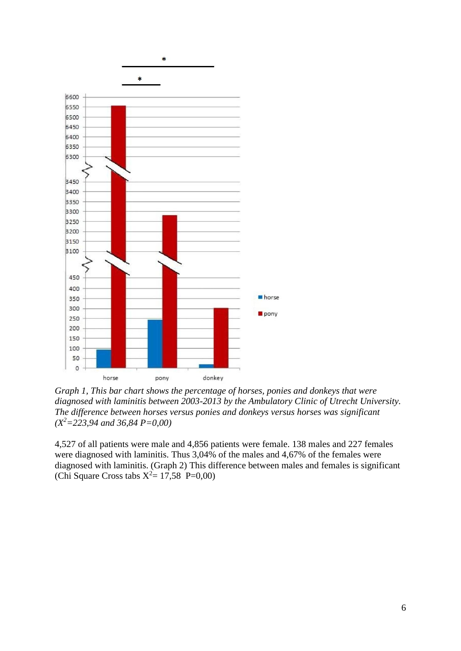

*Graph 1, This bar chart shows the percentage of horses, ponies and donkeys that were diagnosed with laminitis between 2003-2013 by the Ambulatory Clinic of Utrecht University. The difference between horses versus ponies and donkeys versus horses was significant (X<sup>2</sup>=223,94 and 36,84 P=0,00)*

4,527 of all patients were male and 4,856 patients were female. 138 males and 227 females were diagnosed with laminitis. Thus 3,04% of the males and 4,67% of the females were diagnosed with laminitis. (Graph 2) This difference between males and females is significant (Chi Square Cross tabs  $X^2 = 17,58 \text{ P=0,00}$ )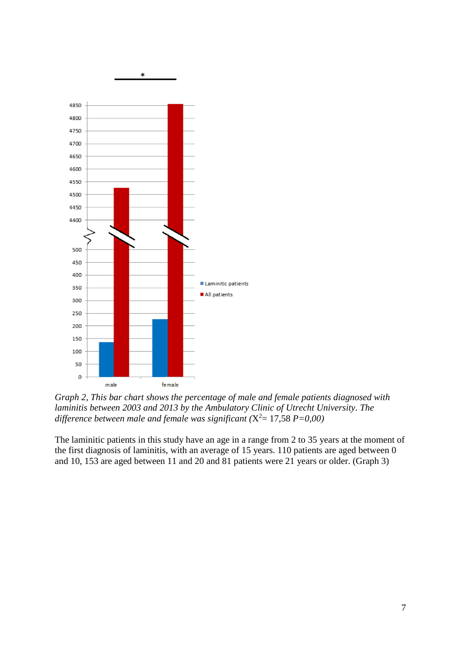

*Graph 2, This bar chart shows the percentage of male and female patients diagnosed with laminitis between 2003 and 2013 by the Ambulatory Clinic of Utrecht University. The difference between male and female was significant (*X <sup>2</sup>= 17,58 *P=0,00)*

The laminitic patients in this study have an age in a range from 2 to 35 years at the moment of the first diagnosis of laminitis, with an average of 15 years. 110 patients are aged between 0 and 10, 153 are aged between 11 and 20 and 81 patients were 21 years or older. (Graph 3)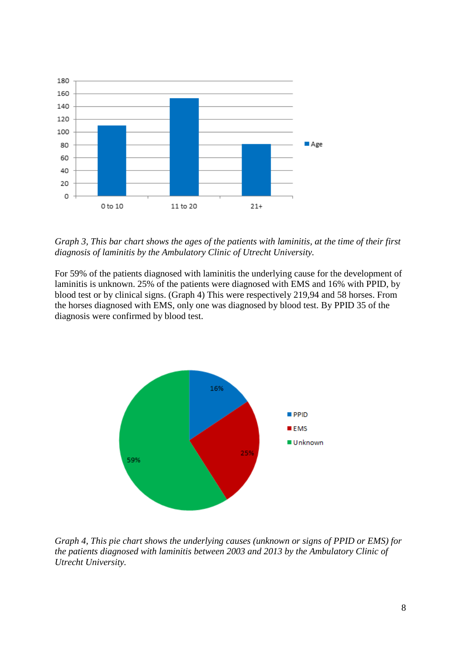

*Graph 3, This bar chart shows the ages of the patients with laminitis, at the time of their first diagnosis of laminitis by the Ambulatory Clinic of Utrecht University.*

For 59% of the patients diagnosed with laminitis the underlying cause for the development of laminitis is unknown. 25% of the patients were diagnosed with EMS and 16% with PPID, by blood test or by clinical signs. (Graph 4) This were respectively 219,94 and 58 horses. From the horses diagnosed with EMS, only one was diagnosed by blood test. By PPID 35 of the diagnosis were confirmed by blood test.



*Graph 4, This pie chart shows the underlying causes (unknown or signs of PPID or EMS) for the patients diagnosed with laminitis between 2003 and 2013 by the Ambulatory Clinic of Utrecht University.*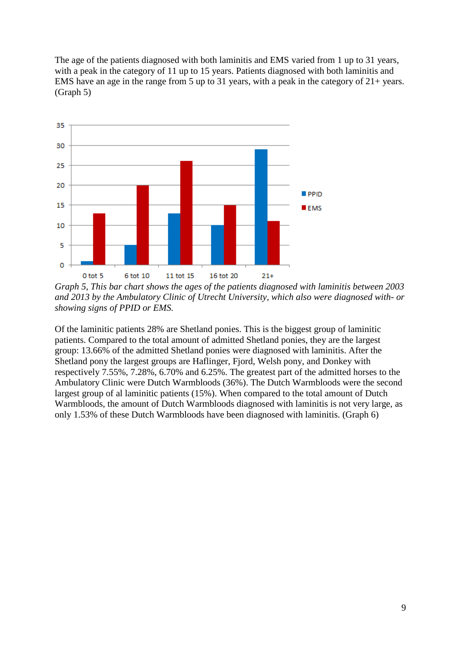The age of the patients diagnosed with both laminitis and EMS varied from 1 up to 31 years, with a peak in the category of 11 up to 15 years. Patients diagnosed with both laminitis and EMS have an age in the range from 5 up to 31 years, with a peak in the category of 21+ years. (Graph 5)



*Graph 5, This bar chart shows the ages of the patients diagnosed with laminitis between 2003 and 2013 by the Ambulatory Clinic of Utrecht University, which also were diagnosed with- or showing signs of PPID or EMS.*

Of the laminitic patients 28% are Shetland ponies. This is the biggest group of laminitic patients. Compared to the total amount of admitted Shetland ponies, they are the largest group: 13.66% of the admitted Shetland ponies were diagnosed with laminitis. After the Shetland pony the largest groups are Haflinger, Fjord, Welsh pony, and Donkey with respectively 7.55%, 7.28%, 6.70% and 6.25%. The greatest part of the admitted horses to the Ambulatory Clinic were Dutch Warmbloods (36%). The Dutch Warmbloods were the second largest group of al laminitic patients (15%). When compared to the total amount of Dutch Warmbloods, the amount of Dutch Warmbloods diagnosed with laminitis is not very large, as only 1.53% of these Dutch Warmbloods have been diagnosed with laminitis. (Graph 6)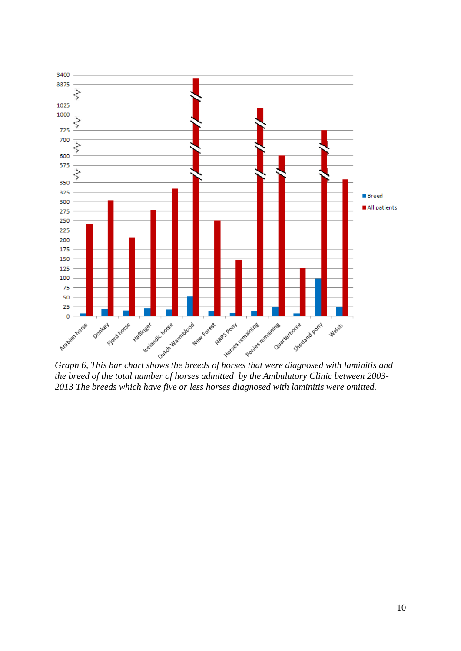

*the breed of the total number of horses admitted by the Ambulatory Clinic between 2003- 2013 The breeds which have five or less horses diagnosed with laminitis were omitted.*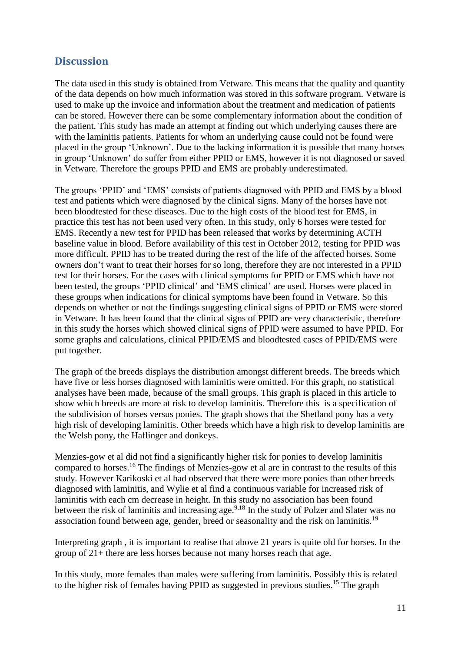# **Discussion**

The data used in this study is obtained from Vetware. This means that the quality and quantity of the data depends on how much information was stored in this software program. Vetware is used to make up the invoice and information about the treatment and medication of patients can be stored. However there can be some complementary information about the condition of the patient. This study has made an attempt at finding out which underlying causes there are with the laminitis patients. Patients for whom an underlying cause could not be found were placed in the group 'Unknown'. Due to the lacking information it is possible that many horses in group 'Unknown' do suffer from either PPID or EMS, however it is not diagnosed or saved in Vetware. Therefore the groups PPID and EMS are probably underestimated.

The groups 'PPID' and 'EMS' consists of patients diagnosed with PPID and EMS by a blood test and patients which were diagnosed by the clinical signs. Many of the horses have not been bloodtested for these diseases. Due to the high costs of the blood test for EMS, in practice this test has not been used very often. In this study, only 6 horses were tested for EMS. Recently a new test for PPID has been released that works by determining ACTH baseline value in blood. Before availability of this test in October 2012, testing for PPID was more difficult. PPID has to be treated during the rest of the life of the affected horses. Some owners don't want to treat their horses for so long, therefore they are not interested in a PPID test for their horses. For the cases with clinical symptoms for PPID or EMS which have not been tested, the groups 'PPID clinical' and 'EMS clinical' are used. Horses were placed in these groups when indications for clinical symptoms have been found in Vetware. So this depends on whether or not the findings suggesting clinical signs of PPID or EMS were stored in Vetware. It has been found that the clinical signs of PPID are very characteristic, therefore in this study the horses which showed clinical signs of PPID were assumed to have PPID. For some graphs and calculations, clinical PPID/EMS and bloodtested cases of PPID/EMS were put together.

The graph of the breeds displays the distribution amongst different breeds. The breeds which have five or less horses diagnosed with laminitis were omitted. For this graph, no statistical analyses have been made, because of the small groups. This graph is placed in this article to show which breeds are more at risk to develop laminitis. Therefore this is a specification of the subdivision of horses versus ponies. The graph shows that the Shetland pony has a very high risk of developing laminitis. Other breeds which have a high risk to develop laminitis are the Welsh pony, the Haflinger and donkeys.

Menzies-gow et al did not find a significantly higher risk for ponies to develop laminitis compared to horses.<sup>16</sup> The findings of Menzies-gow et al are in contrast to the results of this study. However Karikoski et al had observed that there were more ponies than other breeds diagnosed with laminitis, and Wylie et al find a continuous variable for increased risk of laminitis with each cm decrease in height. In this study no association has been found between the risk of laminitis and increasing age.<sup>9,18</sup> In the study of Polzer and Slater was no association found between age, gender, breed or seasonality and the risk on laminitis.<sup>19</sup>

Interpreting graph , it is important to realise that above 21 years is quite old for horses. In the group of 21+ there are less horses because not many horses reach that age.

In this study, more females than males were suffering from laminitis. Possibly this is related to the higher risk of females having PPID as suggested in previous studies.<sup>15</sup> The graph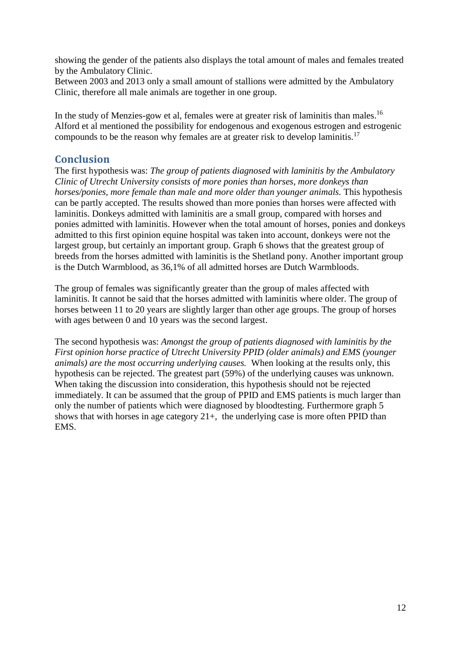showing the gender of the patients also displays the total amount of males and females treated by the Ambulatory Clinic.

Between 2003 and 2013 only a small amount of stallions were admitted by the Ambulatory Clinic, therefore all male animals are together in one group.

In the study of Menzies-gow et al, females were at greater risk of laminitis than males.<sup>16</sup> Alford et al mentioned the possibility for endogenous and exogenous estrogen and estrogenic compounds to be the reason why females are at greater risk to develop laminitis.<sup>17</sup>

### **Conclusion**

The first hypothesis was: *The group of patients diagnosed with laminitis by the Ambulatory Clinic of Utrecht University consists of more ponies than horses, more donkeys than horses/ponies, more female than male and more older than younger animals. This hypothesis* can be partly accepted. The results showed than more ponies than horses were affected with laminitis. Donkeys admitted with laminitis are a small group, compared with horses and ponies admitted with laminitis. However when the total amount of horses, ponies and donkeys admitted to this first opinion equine hospital was taken into account, donkeys were not the largest group, but certainly an important group. Graph 6 shows that the greatest group of breeds from the horses admitted with laminitis is the Shetland pony. Another important group is the Dutch Warmblood, as 36,1% of all admitted horses are Dutch Warmbloods.

The group of females was significantly greater than the group of males affected with laminitis. It cannot be said that the horses admitted with laminitis where older. The group of horses between 11 to 20 years are slightly larger than other age groups. The group of horses with ages between 0 and 10 years was the second largest.

The second hypothesis was: *Amongst the group of patients diagnosed with laminitis by the First opinion horse practice of Utrecht University PPID (older animals) and EMS (younger animals) are the most occurring underlying causes.* When looking at the results only, this hypothesis can be rejected. The greatest part (59%) of the underlying causes was unknown. When taking the discussion into consideration, this hypothesis should not be rejected immediately. It can be assumed that the group of PPID and EMS patients is much larger than only the number of patients which were diagnosed by bloodtesting. Furthermore graph 5 shows that with horses in age category  $21+$ , the underlying case is more often PPID than EMS.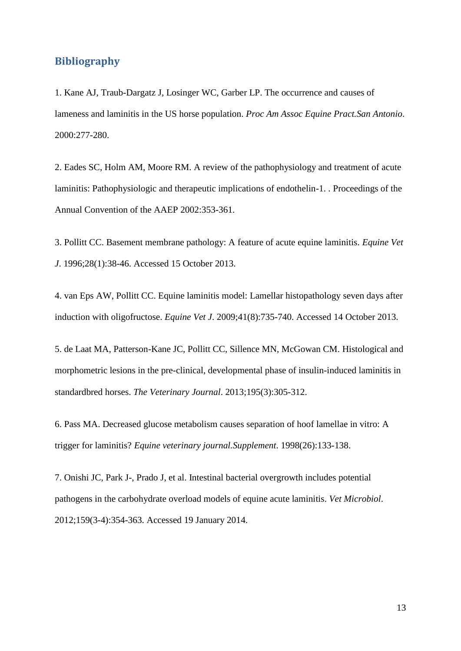## **Bibliography**

1. Kane AJ, Traub-Dargatz J, Losinger WC, Garber LP. The occurrence and causes of lameness and laminitis in the US horse population. *Proc Am Assoc Equine Pract.San Antonio*. 2000:277-280.

2. Eades SC, Holm AM, Moore RM. A review of the pathophysiology and treatment of acute laminitis: Pathophysiologic and therapeutic implications of endothelin-1. . Proceedings of the Annual Convention of the AAEP 2002:353-361.

3. Pollitt CC. Basement membrane pathology: A feature of acute equine laminitis. *Equine Vet J*. 1996;28(1):38-46. Accessed 15 October 2013.

4. van Eps AW, Pollitt CC. Equine laminitis model: Lamellar histopathology seven days after induction with oligofructose. *Equine Vet J*. 2009;41(8):735-740. Accessed 14 October 2013.

5. de Laat MA, Patterson-Kane JC, Pollitt CC, Sillence MN, McGowan CM. Histological and morphometric lesions in the pre-clinical, developmental phase of insulin-induced laminitis in standardbred horses. *The Veterinary Journal*. 2013;195(3):305-312.

6. Pass MA. Decreased glucose metabolism causes separation of hoof lamellae in vitro: A trigger for laminitis? *Equine veterinary journal.Supplement*. 1998(26):133-138.

7. Onishi JC, Park J-, Prado J, et al. Intestinal bacterial overgrowth includes potential pathogens in the carbohydrate overload models of equine acute laminitis. *Vet Microbiol*. 2012;159(3-4):354-363. Accessed 19 January 2014.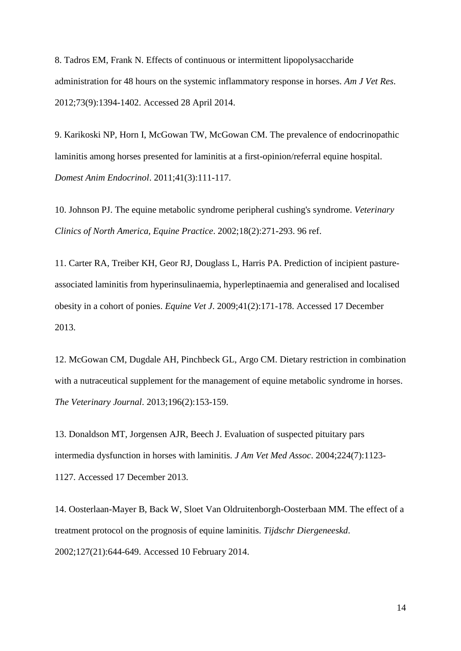8. Tadros EM, Frank N. Effects of continuous or intermittent lipopolysaccharide administration for 48 hours on the systemic inflammatory response in horses. *Am J Vet Res*. 2012;73(9):1394-1402. Accessed 28 April 2014.

9. Karikoski NP, Horn I, McGowan TW, McGowan CM. The prevalence of endocrinopathic laminitis among horses presented for laminitis at a first-opinion/referral equine hospital. *Domest Anim Endocrinol*. 2011;41(3):111-117.

10. Johnson PJ. The equine metabolic syndrome peripheral cushing's syndrome. *Veterinary Clinics of North America, Equine Practice*. 2002;18(2):271-293. 96 ref.

11. Carter RA, Treiber KH, Geor RJ, Douglass L, Harris PA. Prediction of incipient pastureassociated laminitis from hyperinsulinaemia, hyperleptinaemia and generalised and localised obesity in a cohort of ponies. *Equine Vet J*. 2009;41(2):171-178. Accessed 17 December 2013.

12. McGowan CM, Dugdale AH, Pinchbeck GL, Argo CM. Dietary restriction in combination with a nutraceutical supplement for the management of equine metabolic syndrome in horses. *The Veterinary Journal*. 2013;196(2):153-159.

13. Donaldson MT, Jorgensen AJR, Beech J. Evaluation of suspected pituitary pars intermedia dysfunction in horses with laminitis. *J Am Vet Med Assoc*. 2004;224(7):1123- 1127. Accessed 17 December 2013.

14. Oosterlaan-Mayer B, Back W, Sloet Van Oldruitenborgh-Oosterbaan MM. The effect of a treatment protocol on the prognosis of equine laminitis. *Tijdschr Diergeneeskd*. 2002;127(21):644-649. Accessed 10 February 2014.